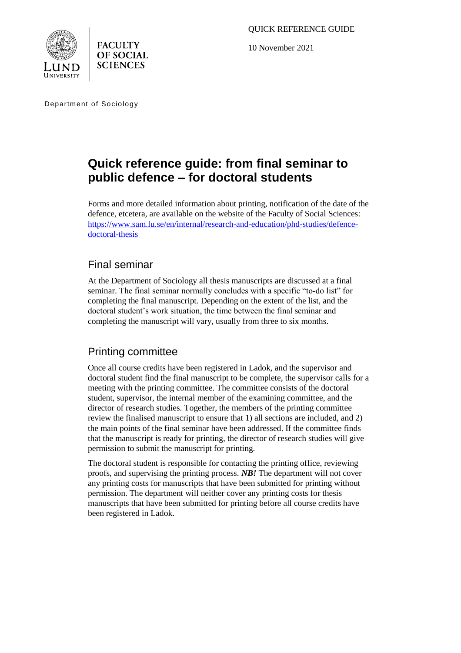QUICK REFERENCE GUIDE

10 November 2021





Department of Sociology

# **Quick reference guide: from final seminar to public defence – for doctoral students**

Forms and more detailed information about printing, notification of the date of the defence, etcetera, are available on the website of the Faculty of Social Sciences: [https://www.sam.lu.se/en/internal/research-and-education/phd-studies/defence](https://www.sam.lu.se/en/internal/research-and-education/phd-studies/defence-doctoral-thesis)[doctoral-thesis](https://www.sam.lu.se/en/internal/research-and-education/phd-studies/defence-doctoral-thesis)

## Final seminar

At the Department of Sociology all thesis manuscripts are discussed at a final seminar. The final seminar normally concludes with a specific "to-do list" for completing the final manuscript. Depending on the extent of the list, and the doctoral student's work situation, the time between the final seminar and completing the manuscript will vary, usually from three to six months.

## Printing committee

Once all course credits have been registered in Ladok, and the supervisor and doctoral student find the final manuscript to be complete, the supervisor calls for a meeting with the printing committee. The committee consists of the doctoral student, supervisor, the internal member of the examining committee, and the director of research studies. Together, the members of the printing committee review the finalised manuscript to ensure that 1) all sections are included, and 2) the main points of the final seminar have been addressed. If the committee finds that the manuscript is ready for printing, the director of research studies will give permission to submit the manuscript for printing.

The doctoral student is responsible for contacting the printing office, reviewing proofs, and supervising the printing process. *NB!* The department will not cover any printing costs for manuscripts that have been submitted for printing without permission. The department will neither cover any printing costs for thesis manuscripts that have been submitted for printing before all course credits have been registered in Ladok.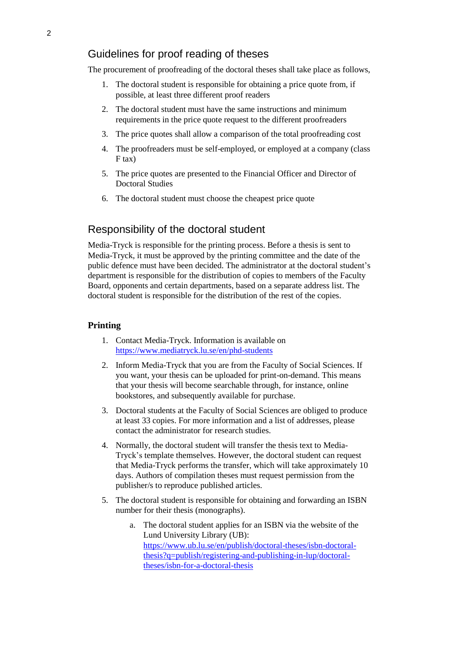## Guidelines for proof reading of theses

The procurement of proofreading of the doctoral theses shall take place as follows,

- 1. The doctoral student is responsible for obtaining a price quote from, if possible, at least three different proof readers
- 2. The doctoral student must have the same instructions and minimum requirements in the price quote request to the different proofreaders
- 3. The price quotes shall allow a comparison of the total proofreading cost
- 4. The proofreaders must be self-employed, or employed at a company (class F tax)
- 5. The price quotes are presented to the Financial Officer and Director of Doctoral Studies
- 6. The doctoral student must choose the cheapest price quote

### Responsibility of the doctoral student

Media-Tryck is responsible for the printing process. Before a thesis is sent to Media-Tryck, it must be approved by the printing committee and the date of the public defence must have been decided. The administrator at the doctoral student's department is responsible for the distribution of copies to members of the Faculty Board, opponents and certain departments, based on a separate address list. The doctoral student is responsible for the distribution of the rest of the copies.

#### **Printing**

- 1. Contact Media-Tryck. Information is available on <https://www.mediatryck.lu.se/en/phd-students>
- 2. Inform Media-Tryck that you are from the Faculty of Social Sciences. If you want, your thesis can be uploaded for print-on-demand. This means that your thesis will become searchable through, for instance, online bookstores, and subsequently available for purchase.
- 3. Doctoral students at the Faculty of Social Sciences are obliged to produce at least 33 copies. For more information and a list of addresses, please contact the administrator for research studies.
- 4. Normally, the doctoral student will transfer the thesis text to Media-Tryck's template themselves. However, the doctoral student can request that Media-Tryck performs the transfer, which will take approximately 10 days. Authors of compilation theses must request permission from the publisher/s to reproduce published articles.
- 5. The doctoral student is responsible for obtaining and forwarding an ISBN number for their thesis (monographs).
	- a. The doctoral student applies for an ISBN via the website of the Lund University Library (UB): [https://www.ub.lu.se/en/publish/doctoral-theses/isbn-doctoral](https://www.ub.lu.se/en/publish/doctoral-theses/isbn-doctoral-thesis?q=publish/registering-and-publishing-in-lup/doctoral-theses/isbn-for-a-doctoral-thesis)[thesis?q=publish/registering-and-publishing-in-lup/doctoral](https://www.ub.lu.se/en/publish/doctoral-theses/isbn-doctoral-thesis?q=publish/registering-and-publishing-in-lup/doctoral-theses/isbn-for-a-doctoral-thesis)[theses/isbn-for-a-doctoral-thesis](https://www.ub.lu.se/en/publish/doctoral-theses/isbn-doctoral-thesis?q=publish/registering-and-publishing-in-lup/doctoral-theses/isbn-for-a-doctoral-thesis)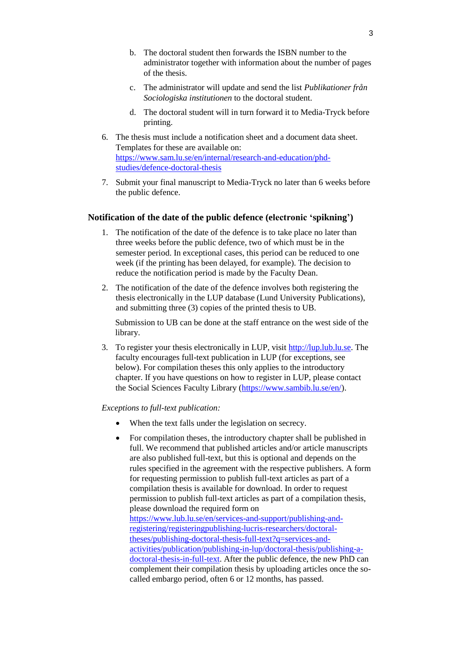- b. The doctoral student then forwards the ISBN number to the administrator together with information about the number of pages of the thesis.
- c. The administrator will update and send the list *Publikationer från Sociologiska institutionen* to the doctoral student.
- d. The doctoral student will in turn forward it to Media-Tryck before printing.
- 6. The thesis must include a notification sheet and a document data sheet. Templates for these are available on: [https://www.sam.lu.se/en/internal/research-and-education/phd](https://www.sam.lu.se/en/internal/research-and-education/phd-studies/defence-doctoral-thesis)[studies/defence-doctoral-thesis](https://www.sam.lu.se/en/internal/research-and-education/phd-studies/defence-doctoral-thesis)
- 7. Submit your final manuscript to Media-Tryck no later than 6 weeks before the public defence.

#### **Notification of the date of the public defence (electronic 'spikning')**

- 1. The notification of the date of the defence is to take place no later than three weeks before the public defence, two of which must be in the semester period. In exceptional cases, this period can be reduced to one week (if the printing has been delayed, for example). The decision to reduce the notification period is made by the Faculty Dean.
- 2. The notification of the date of the defence involves both registering the thesis electronically in the LUP database (Lund University Publications), and submitting three (3) copies of the printed thesis to UB.

Submission to UB can be done at the staff entrance on the west side of the library.

3. To register your thesis electronically in LUP, visit [http://lup.lub.lu.se.](http://lup.lub.lu.se/) The faculty encourages full-text publication in LUP (for exceptions, see below). For compilation theses this only applies to the introductory chapter. If you have questions on how to register in LUP, please contact the Social Sciences Faculty Library [\(https://www.sambib.lu.se/en/\)](https://www.sambib.lu.se/en/).

#### *Exceptions to full-text publication:*

- When the text falls under the legislation on secrecy.
- For compilation theses, the introductory chapter shall be published in full. We recommend that published articles and/or article manuscripts are also published full-text, but this is optional and depends on the rules specified in the agreement with the respective publishers. A form for requesting permission to publish full-text articles as part of a compilation thesis is available for download. In order to request permission to publish full-text articles as part of a compilation thesis, please download the required form on [https://www.lub.lu.se/en/services-and-support/publishing-and](https://www.lub.lu.se/en/services-and-support/publishing-and-registering/registeringpublishing-lucris-researchers/doctoral-theses/publishing-doctoral-thesis-full-text?q=services-and-activities/publication/publishing-in-lup/doctoral-thesis/publishing-a-doctoral-thesis-in-full-text)[registering/registeringpublishing-lucris-researchers/doctoral](https://www.lub.lu.se/en/services-and-support/publishing-and-registering/registeringpublishing-lucris-researchers/doctoral-theses/publishing-doctoral-thesis-full-text?q=services-and-activities/publication/publishing-in-lup/doctoral-thesis/publishing-a-doctoral-thesis-in-full-text)[theses/publishing-doctoral-thesis-full-text?q=services-and](https://www.lub.lu.se/en/services-and-support/publishing-and-registering/registeringpublishing-lucris-researchers/doctoral-theses/publishing-doctoral-thesis-full-text?q=services-and-activities/publication/publishing-in-lup/doctoral-thesis/publishing-a-doctoral-thesis-in-full-text)[activities/publication/publishing-in-lup/doctoral-thesis/publishing-a](https://www.lub.lu.se/en/services-and-support/publishing-and-registering/registeringpublishing-lucris-researchers/doctoral-theses/publishing-doctoral-thesis-full-text?q=services-and-activities/publication/publishing-in-lup/doctoral-thesis/publishing-a-doctoral-thesis-in-full-text)[doctoral-thesis-in-full-text.](https://www.lub.lu.se/en/services-and-support/publishing-and-registering/registeringpublishing-lucris-researchers/doctoral-theses/publishing-doctoral-thesis-full-text?q=services-and-activities/publication/publishing-in-lup/doctoral-thesis/publishing-a-doctoral-thesis-in-full-text) After the public defence, the new PhD can complement their compilation thesis by uploading articles once the socalled embargo period, often 6 or 12 months, has passed.